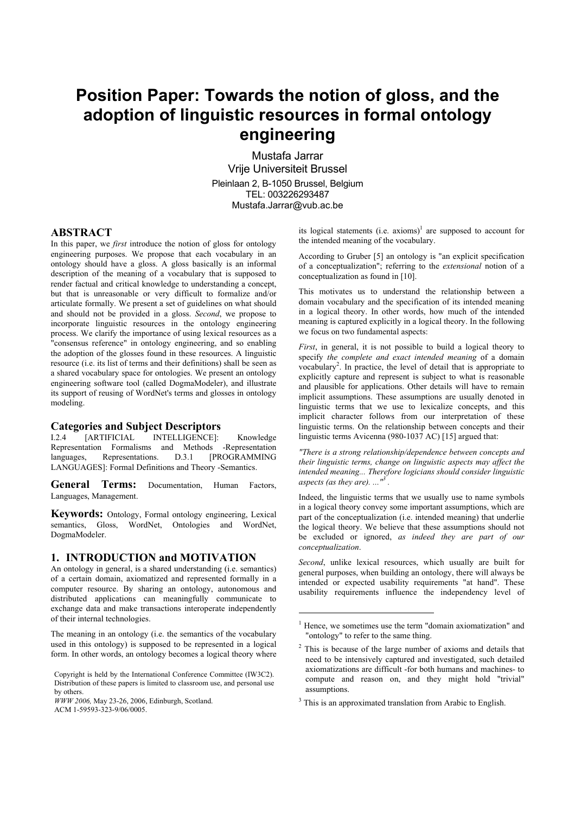## **Position Paper: Towards the notion of gloss, and the adoption of linguistic resources in formal ontology engineering**

Mustafa Jarrar Vrije Universiteit Brussel Pleinlaan 2, B-1050 Brussel, Belgium TEL: 003226293487 Mustafa.Jarrar@vub.ac.be

 $\overline{a}$ 

#### **ABSTRACT**

In this paper, we *first* introduce the notion of gloss for ontology engineering purposes. We propose that each vocabulary in an ontology should have a gloss. A gloss basically is an informal description of the meaning of a vocabulary that is supposed to render factual and critical knowledge to understanding a concept, but that is unreasonable or very difficult to formalize and/or articulate formally. We present a set of guidelines on what should and should not be provided in a gloss. *Second*, we propose to incorporate linguistic resources in the ontology engineering process. We clarify the importance of using lexical resources as a "consensus reference" in ontology engineering, and so enabling the adoption of the glosses found in these resources. A linguistic resource (i.e. its list of terms and their definitions) shall be seen as a shared vocabulary space for ontologies. We present an ontology engineering software tool (called DogmaModeler), and illustrate its support of reusing of WordNet's terms and glosses in ontology modeling.

# **Categories and Subject Descriptors**<br>1.2.4 [ARTIFICIAL INTELLIGENCE]:

INTELLIGENCE]: Knowledge Representation Formalisms and Methods -Representation languages, Representations. D.3.1 [PROGRAMMING LANGUAGES]: Formal Definitions and Theory -Semantics.

**General Terms:** Documentation, Human Factors, Languages, Management.

**Keywords:** Ontology, Formal ontology engineering, Lexical semantics, Gloss, WordNet, Ontologies and WordNet, DogmaModeler.

#### **1. INTRODUCTION and MOTIVATION**

An ontology in general, is a shared understanding (i.e. semantics) of a certain domain, axiomatized and represented formally in a computer resource. By sharing an ontology, autonomous and distributed applications can meaningfully communicate to exchange data and make transactions interoperate independently of their internal technologies.

The meaning in an ontology (i.e. the semantics of the vocabulary used in this ontology) is supposed to be represented in a logical form. In other words, an ontology becomes a logical theory where

Copyright is held by the International Conference Committee (IW3C2). Distribution of these papers is limited to classroom use, and personal use by others.

*WWW 2006,* May 23-26, 2006, Edinburgh, Scotland. ACM 1-59593-323-9/06/0005.

its logical statements (i.e.  $axioms$ )<sup>1</sup> are supposed to account for the intended meaning of the vocabulary.

According to Gruber [5] an ontology is "an explicit specification of a conceptualization"; referring to the *extensional* notion of a conceptualization as found in [10].

This motivates us to understand the relationship between a domain vocabulary and the specification of its intended meaning in a logical theory. In other words, how much of the intended meaning is captured explicitly in a logical theory. In the following we focus on two fundamental aspects:

*First*, in general, it is not possible to build a logical theory to specify *the complete and exact intended meaning* of a domain vocabulary<sup>2</sup>. In practice, the level of detail that is appropriate to explicitly capture and represent is subject to what is reasonable and plausible for applications. Other details will have to remain implicit assumptions. These assumptions are usually denoted in linguistic terms that we use to lexicalize concepts, and this implicit character follows from our interpretation of these linguistic terms. On the relationship between concepts and their linguistic terms Avicenna (980-1037 AC) [15] argued that:

*"There is a strong relationship/dependence between concepts and their linguistic terms, change on linguistic aspects may affect the intended meaning... Therefore logicians should consider linguistic aspects (as they are). ..."<sup>3</sup> .* 

Indeed, the linguistic terms that we usually use to name symbols in a logical theory convey some important assumptions, which are part of the conceptualization (i.e. intended meaning) that underlie the logical theory. We believe that these assumptions should not be excluded or ignored, *as indeed they are part of our conceptualization*.

*Second*, unlike lexical resources, which usually are built for general purposes, when building an ontology, there will always be intended or expected usability requirements "at hand". These usability requirements influence the independency level of

<sup>&</sup>lt;sup>1</sup> Hence, we sometimes use the term "domain axiomatization" and "ontology" to refer to the same thing.

 $2$  This is because of the large number of axioms and details that need to be intensively captured and investigated, such detailed axiomatizations are difficult -for both humans and machines- to compute and reason on, and they might hold "trivial" assumptions.

<sup>&</sup>lt;sup>3</sup> This is an approximated translation from Arabic to English.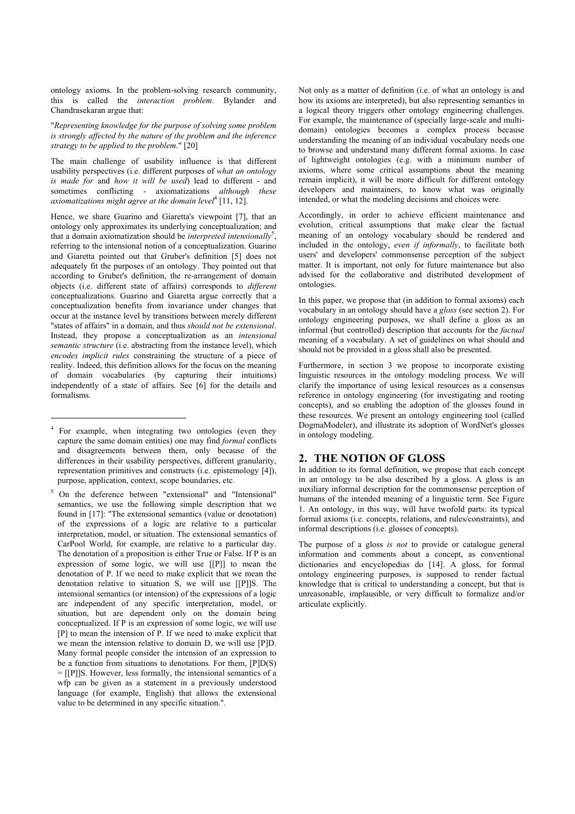ontology axioms. In the problem-solving research community, this is called the *interaction problem*. Bylander and Chandrasekaran argue that:

"*Representing knowledge for the purpose of solving some problem is strongly affected by the nature of the problem and the inference strategy to be applied to the problem*." [20]

The main challenge of usability influence is that different usability perspectives (i.e. different purposes of *what an ontology is made for* and *how it will be used*) lead to different - and sometimes conflicting - axiomatizations *although these axiomatizations might agree at the domain level*<sup>4</sup> [11, 12].

Hence, we share Guarino and Giaretta's viewpoint [7], that an ontology only approximates its underlying conceptualization; and that a domain axiomatization should be *interpreted intensionally*<sup>5</sup>, referring to the intensional notion of a conceptualization. Guarino and Giaretta pointed out that Gruber's definition [5] does not adequately fit the purposes of an ontology. They pointed out that according to Gruber's definition, the re-arrangement of domain objects (i.e. different state of affairs) corresponds to *different* conceptualizations. Guarino and Giaretta argue correctly that a conceptualization benefits from invariance under changes that occur at the instance level by transitions between merely different "states of affairs" in a domain, and thus *should not be extensional*. Instead, they propose a conceptualization as an *intensional semantic structure* (i.e. abstracting from the instance level), which *encodes implicit rules* constraining the structure of a piece of reality. Indeed, this definition allows for the focus on the meaning of domain vocabularies (by capturing their intuitions) independently of a state of affairs. See [6] for the details and formalisms.

l

Not only as a matter of definition (i.e. of what an ontology is and how its axioms are interpreted), but also representing semantics in a logical theory triggers other ontology engineering challenges. For example, the maintenance of (specially large-scale and multidomain) ontologies becomes a complex process because understanding the meaning of an individual vocabulary needs one to browse and understand many different formal axioms. In case of lightweight ontologies (e.g. with a minimum number of axioms, where some critical assumptions about the meaning remain implicit), it will be more difficult for different ontology developers and maintainers, to know what was originally intended, or what the modeling decisions and choices were.

Accordingly, in order to achieve efficient maintenance and evolution, critical assumptions that make clear the factual meaning of an ontology vocabulary should be rendered and included in the ontology, *even if informally*, to facilitate both users' and developers' commonsense perception of the subject matter. It is important, not only for future maintenance but also advised for the collaborative and distributed development of ontologies.

In this paper, we propose that (in addition to formal axioms) each vocabulary in an ontology should have a *gloss* (see section 2). For ontology engineering purposes, we shall define a gloss as an informal (but controlled) description that accounts for the *factual* meaning of a vocabulary. A set of guidelines on what should and should not be provided in a gloss shall also be presented.

Furthermore, in section 3 we propose to incorporate existing linguistic resources in the ontology modeling process. We will clarify the importance of using lexical resources as a consensus reference in ontology engineering (for investigating and rooting concepts), and so enabling the adoption of the glosses found in these resources. We present an ontology engineering tool (called DogmaModeler), and illustrate its adoption of WordNet's glosses in ontology modeling.

### **2. THE NOTION OF GLOSS**

In addition to its formal definition, we propose that each concept in an ontology to be also described by a gloss. A gloss is an auxiliary informal description for the commonsense perception of humans of the intended meaning of a linguistic term. See Figure 1. An ontology, in this way, will have twofold parts: its typical formal axioms (i.e. concepts, relations, and rules/constraints), and informal descriptions (i.e. glosses of concepts).

The purpose of a gloss *is not* to provide or catalogue general information and comments about a concept, as conventional dictionaries and encyclopedias do [14]. A gloss, for formal ontology engineering purposes, is supposed to render factual knowledge that is critical to understanding a concept, but that is unreasonable, implausible, or very difficult to formalize and/or articulate explicitly.

<sup>&</sup>lt;sup>4</sup> For example, when integrating two ontologies (even they capture the same domain entities) one may find *formal* conflicts and disagreements between them, only because of the differences in their usability perspectives, different granularity, representation primitives and constructs (i.e. epistemology [4]), purpose, application, context, scope boundaries, etc.

<sup>5</sup> On the deference between "extensional" and "Intensional" semantics, we use the following simple description that we found in [17]: "The extensional semantics (value or denotation) of the expressions of a logic are relative to a particular interpretation, model, or situation. The extensional semantics of CarPool World, for example, are relative to a particular day. The denotation of a proposition is either True or False. If P is an expression of some logic, we will use [[P]] to mean the denotation of P. If we need to make explicit that we mean the denotation relative to situation S, we will use [[P]]S. The intensional semantics (or intension) of the expressions of a logic are independent of any specific interpretation, model, or situation, but are dependent only on the domain being conceptualized. If P is an expression of some logic, we will use [P] to mean the intension of P. If we need to make explicit that we mean the intension relative to domain D, we will use [P]D. Many formal people consider the intension of an expression to be a function from situations to denotations. For them, [P]D(S) = [[P]]S. However, less formally, the intensional semantics of a wfp can be given as a statement in a previously understood language (for example, English) that allows the extensional value to be determined in any specific situation.".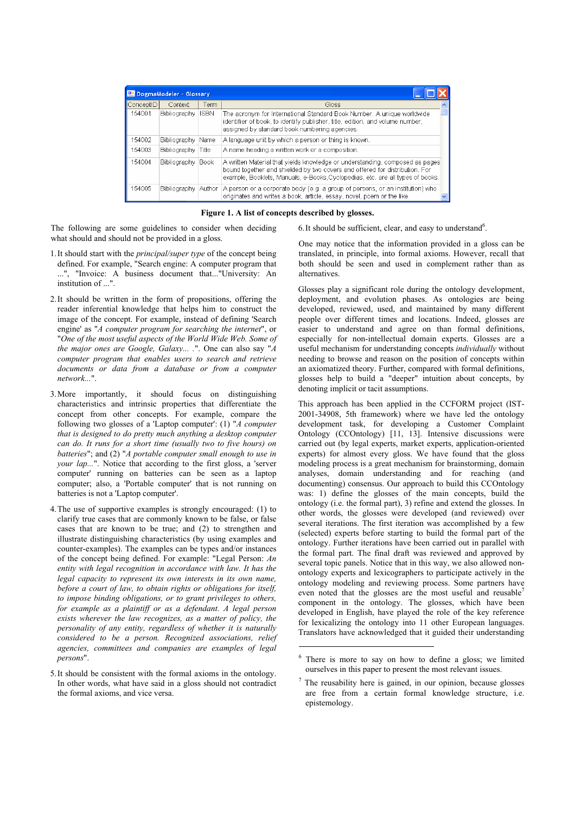| ConceptID | Context      | Term        | Gloss.                                                                                                                                                                                                                                        |
|-----------|--------------|-------------|-----------------------------------------------------------------------------------------------------------------------------------------------------------------------------------------------------------------------------------------------|
| 154001    | Bibliography | <b>ISBN</b> | The acronym for International Standard Book Number, A unique worldwide<br>identifier of book, to identify publisher, title, edition, and volume number,<br>assigned by standard book numbering agencies.                                      |
| 154002    | Bibliography | Name        | A language unit by which a person or thing is known.                                                                                                                                                                                          |
| 154003    | Bibliography | Title       | A name heading a written work or a composition.                                                                                                                                                                                               |
| 154004    | Bibliography | <b>Book</b> | A written Material that vields knowledge or understanding, composed as pages<br>bound together and shielded by two covers and offered for distribution. For<br>example, Booklets, Manuals, e-Books, Cyclopedias, etc. are all types of books. |
| 154005    | Bibliography | Author      | A person or a corporate body (e.g. a group of persons, or an institution) who<br>originates and writes a book, article, essay, novel, poem or the like.                                                                                       |

**Figure 1. A list of concepts described by glosses.** 

 $\overline{a}$ 

The following are some guidelines to consider when deciding what should and should not be provided in a gloss.

- 1.It should start with the *principal/super type* of the concept being defined. For example, "Search engine: A computer program that ...", "Invoice: A business document that..."University: An institution of ...".
- 2.It should be written in the form of propositions, offering the reader inferential knowledge that helps him to construct the image of the concept. For example, instead of defining 'Search engine' as "*A computer program for searching the internet*", or "*One of the most useful aspects of the World Wide Web. Some of the major ones are Google, Galaxy... .*". One can also say "*A computer program that enables users to search and retrieve documents or data from a database or from a computer network...*".
- 3.More importantly, it should focus on distinguishing characteristics and intrinsic properties that differentiate the concept from other concepts. For example, compare the following two glosses of a 'Laptop computer': (1) "*A computer that is designed to do pretty much anything a desktop computer can do. It runs for a short time (usually two to five hours) on batteries*"; and (2) "*A portable computer small enough to use in your lap...*". Notice that according to the first gloss, a 'server computer' running on batteries can be seen as a laptop computer; also, a 'Portable computer' that is not running on batteries is not a 'Laptop computer'.
- 4.The use of supportive examples is strongly encouraged: (1) to clarify true cases that are commonly known to be false, or false cases that are known to be true; and (2) to strengthen and illustrate distinguishing characteristics (by using examples and counter-examples). The examples can be types and/or instances of the concept being defined. For example: "Legal Person: *An entity with legal recognition in accordance with law. It has the legal capacity to represent its own interests in its own name, before a court of law, to obtain rights or obligations for itself, to impose binding obligations, or to grant privileges to others, for example as a plaintiff or as a defendant. A legal person exists wherever the law recognizes, as a matter of policy, the personality of any entity, regardless of whether it is naturally considered to be a person. Recognized associations, relief agencies, committees and companies are examples of legal persons*".
- 5.It should be consistent with the formal axioms in the ontology. In other words, what have said in a gloss should not contradict the formal axioms, and vice versa.

6. It should be sufficient, clear, and easy to understand<sup>6</sup>.

One may notice that the information provided in a gloss can be translated, in principle, into formal axioms. However, recall that both should be seen and used in complement rather than as alternatives.

Glosses play a significant role during the ontology development, deployment, and evolution phases. As ontologies are being developed, reviewed, used, and maintained by many different people over different times and locations. Indeed, glosses are easier to understand and agree on than formal definitions, especially for non-intellectual domain experts. Glosses are a useful mechanism for understanding concepts *individually* without needing to browse and reason on the position of concepts within an axiomatized theory. Further, compared with formal definitions, glosses help to build a "deeper" intuition about concepts, by denoting implicit or tacit assumptions.

This approach has been applied in the CCFORM project (IST-2001-34908, 5th framework) where we have led the ontology development task, for developing a Customer Complaint Ontology (CCOntology) [11, 13]. Intensive discussions were carried out (by legal experts, market experts, application-oriented experts) for almost every gloss. We have found that the gloss modeling process is a great mechanism for brainstorming, domain analyses, domain understanding and for reaching (and documenting) consensus. Our approach to build this CCOntology was: 1) define the glosses of the main concepts, build the ontology (i.e. the formal part), 3) refine and extend the glosses. In other words, the glosses were developed (and reviewed) over several iterations. The first iteration was accomplished by a few (selected) experts before starting to build the formal part of the ontology. Further iterations have been carried out in parallel with the formal part. The final draft was reviewed and approved by several topic panels. Notice that in this way, we also allowed nonontology experts and lexicographers to participate actively in the ontology modeling and reviewing process. Some partners have even noted that the glosses are the most useful and reusable<sup>7</sup> component in the ontology. The glosses, which have been developed in English, have played the role of the key reference for lexicalizing the ontology into 11 other European languages. Translators have acknowledged that it guided their understanding

<sup>&</sup>lt;sup>6</sup> There is more to say on how to define a gloss; we limited ourselves in this paper to present the most relevant issues.

 $7$  The reusability here is gained, in our opinion, because glosses are free from a certain formal knowledge structure, i.e. epistemology.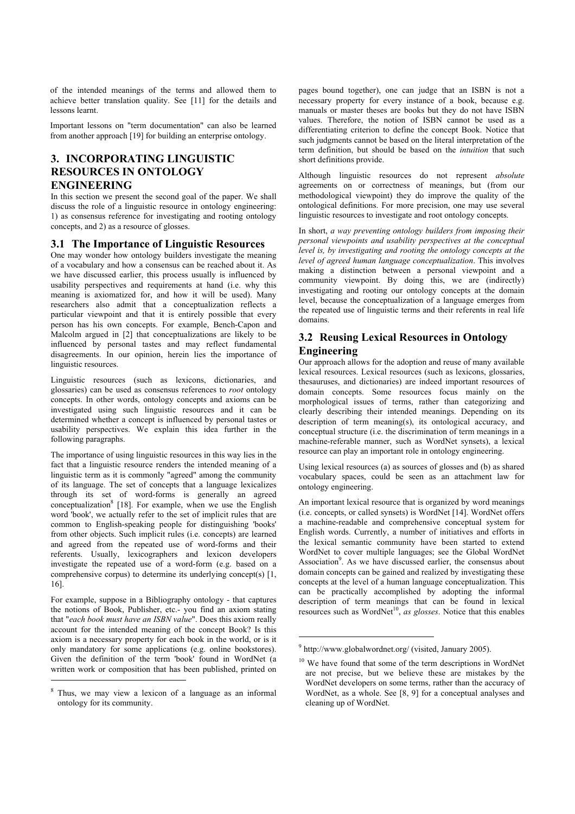of the intended meanings of the terms and allowed them to achieve better translation quality. See [11] for the details and lessons learnt.

Important lessons on "term documentation" can also be learned from another approach [19] for building an enterprise ontology.

## **3. INCORPORATING LINGUISTIC RESOURCES IN ONTOLOGY ENGINEERING**

In this section we present the second goal of the paper. We shall discuss the role of a linguistic resource in ontology engineering: 1) as consensus reference for investigating and rooting ontology concepts, and 2) as a resource of glosses.

#### **3.1 The Importance of Linguistic Resources**

One may wonder how ontology builders investigate the meaning of a vocabulary and how a consensus can be reached about it. As we have discussed earlier, this process usually is influenced by usability perspectives and requirements at hand (i.e. why this meaning is axiomatized for, and how it will be used). Many researchers also admit that a conceptualization reflects a particular viewpoint and that it is entirely possible that every person has his own concepts. For example, Bench-Capon and Malcolm argued in [2] that conceptualizations are likely to be influenced by personal tastes and may reflect fundamental disagreements. In our opinion, herein lies the importance of linguistic resources.

Linguistic resources (such as lexicons, dictionaries, and glossaries) can be used as consensus references to *root* ontology concepts. In other words, ontology concepts and axioms can be investigated using such linguistic resources and it can be determined whether a concept is influenced by personal tastes or usability perspectives. We explain this idea further in the following paragraphs.

The importance of using linguistic resources in this way lies in the fact that a linguistic resource renders the intended meaning of a linguistic term as it is commonly "agreed" among the community of its language. The set of concepts that a language lexicalizes through its set of word-forms is generally an agreed  $conceptualization<sup>8</sup>$  [18]. For example, when we use the English word 'book', we actually refer to the set of implicit rules that are common to English-speaking people for distinguishing 'books' from other objects. Such implicit rules (i.e. concepts) are learned and agreed from the repeated use of word-forms and their referents. Usually, lexicographers and lexicon developers investigate the repeated use of a word-form (e.g. based on a comprehensive corpus) to determine its underlying concept(s) [1, 16].

For example, suppose in a Bibliography ontology - that captures the notions of Book, Publisher, etc.- you find an axiom stating that "*each book must have an ISBN value*". Does this axiom really account for the intended meaning of the concept Book? Is this axiom is a necessary property for each book in the world, or is it only mandatory for some applications (e.g. online bookstores). Given the definition of the term 'book' found in WordNet (a written work or composition that has been published, printed on

j

pages bound together), one can judge that an ISBN is not a necessary property for every instance of a book, because e.g. manuals or master theses are books but they do not have ISBN values. Therefore, the notion of ISBN cannot be used as a differentiating criterion to define the concept Book. Notice that such judgments cannot be based on the literal interpretation of the term definition, but should be based on the *intuition* that such short definitions provide.

Although linguistic resources do not represent *absolute* agreements on or correctness of meanings, but (from our methodological viewpoint) they do improve the quality of the ontological definitions. For more precision, one may use several linguistic resources to investigate and root ontology concepts.

In short, *a way preventing ontology builders from imposing their personal viewpoints and usability perspectives at the conceptual level is, by investigating and rooting the ontology concepts at the level of agreed human language conceptualization*. This involves making a distinction between a personal viewpoint and a community viewpoint. By doing this, we are (indirectly) investigating and rooting our ontology concepts at the domain level, because the conceptualization of a language emerges from the repeated use of linguistic terms and their referents in real life domains.

## **3.2 Reusing Lexical Resources in Ontology Engineering**

Our approach allows for the adoption and reuse of many available lexical resources. Lexical resources (such as lexicons, glossaries, thesauruses, and dictionaries) are indeed important resources of domain concepts. Some resources focus mainly on the morphological issues of terms, rather than categorizing and clearly describing their intended meanings. Depending on its description of term meaning(s), its ontological accuracy, and conceptual structure (i.e. the discrimination of term meanings in a machine-referable manner, such as WordNet synsets), a lexical resource can play an important role in ontology engineering.

Using lexical resources (a) as sources of glosses and (b) as shared vocabulary spaces, could be seen as an attachment law for ontology engineering.

An important lexical resource that is organized by word meanings (i.e. concepts, or called synsets) is WordNet [14]. WordNet offers a machine-readable and comprehensive conceptual system for English words. Currently, a number of initiatives and efforts in the lexical semantic community have been started to extend WordNet to cover multiple languages; see the Global WordNet Association<sup>9</sup>. As we have discussed earlier, the consensus about domain concepts can be gained and realized by investigating these concepts at the level of a human language conceptualization. This can be practically accomplished by adopting the informal description of term meanings that can be found in lexical resources such as WordNet<sup>10</sup>, *as glosses*. Notice that this enables

l

<sup>8</sup> Thus, we may view a lexicon of a language as an informal ontology for its community.

<sup>&</sup>lt;sup>9</sup> http://www.globalwordnet.org/ (visited, January 2005).

<sup>&</sup>lt;sup>10</sup> We have found that some of the term descriptions in WordNet are not precise, but we believe these are mistakes by the WordNet developers on some terms, rather than the accuracy of WordNet, as a whole. See [8, 9] for a conceptual analyses and cleaning up of WordNet.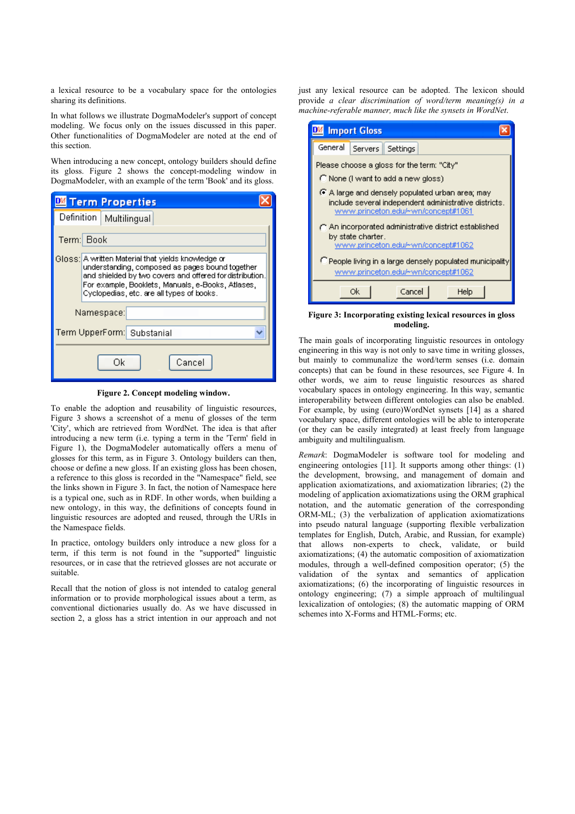a lexical resource to be a vocabulary space for the ontologies sharing its definitions.

In what follows we illustrate DogmaModeler's support of concept modeling. We focus only on the issues discussed in this paper. Other functionalities of DogmaModeler are noted at the end of this section.

When introducing a new concept, ontology builders should define its gloss. Figure 2 shows the concept-modeling window in DogmaModeler, with an example of the term 'Book' and its gloss.





To enable the adoption and reusability of linguistic resources, Figure 3 shows a screenshot of a menu of glosses of the term 'City', which are retrieved from WordNet. The idea is that after introducing a new term (i.e. typing a term in the 'Term' field in Figure 1), the DogmaModeler automatically offers a menu of glosses for this term, as in Figure 3. Ontology builders can then, choose or define a new gloss. If an existing gloss has been chosen, a reference to this gloss is recorded in the "Namespace" field, see the links shown in Figure 3. In fact, the notion of Namespace here is a typical one, such as in RDF. In other words, when building a new ontology, in this way, the definitions of concepts found in linguistic resources are adopted and reused, through the URIs in the Namespace fields.

In practice, ontology builders only introduce a new gloss for a term, if this term is not found in the "supported" linguistic resources, or in case that the retrieved glosses are not accurate or suitable.

Recall that the notion of gloss is not intended to catalog general information or to provide morphological issues about a term, as conventional dictionaries usually do. As we have discussed in section 2, a gloss has a strict intention in our approach and not just any lexical resource can be adopted. The lexicon should provide *a clear discrimination of word/term meaning(s) in a machine-referable manner, much like the synsets in WordNet*.

| <b>Import Gloss</b>                                                                                                                            |  |  |  |  |
|------------------------------------------------------------------------------------------------------------------------------------------------|--|--|--|--|
| General<br>Servers<br>Settings                                                                                                                 |  |  |  |  |
| Please choose a gloss for the term: "City"                                                                                                     |  |  |  |  |
| C None (I want to add a new gloss)                                                                                                             |  |  |  |  |
| C A large and densely populated urban area; may<br>include several independent administrative districts.<br>www.princeton.edu/~wn/concept#1061 |  |  |  |  |
| An incorporated administrative district established<br>by state charter.<br>www.princeton.edu/~wn/concept#1062                                 |  |  |  |  |
| C People living in a large densely populated municipality<br>www.princeton.edu/~wn/concept#1062                                                |  |  |  |  |
| Cancel<br>Оk<br>Help                                                                                                                           |  |  |  |  |

**Figure 3: Incorporating existing lexical resources in gloss modeling.** 

The main goals of incorporating linguistic resources in ontology engineering in this way is not only to save time in writing glosses, but mainly to communalize the word/term senses (i.e. domain concepts) that can be found in these resources, see Figure 4. In other words, we aim to reuse linguistic resources as shared vocabulary spaces in ontology engineering. In this way, semantic interoperability between different ontologies can also be enabled. For example, by using (euro)WordNet synsets [14] as a shared vocabulary space, different ontologies will be able to interoperate (or they can be easily integrated) at least freely from language ambiguity and multilingualism.

*Remark*: DogmaModeler is software tool for modeling and engineering ontologies [11]. It supports among other things: (1) the development, browsing, and management of domain and application axiomatizations, and axiomatization libraries; (2) the modeling of application axiomatizations using the ORM graphical notation, and the automatic generation of the corresponding ORM-ML; (3) the verbalization of application axiomatizations into pseudo natural language (supporting flexible verbalization templates for English, Dutch, Arabic, and Russian, for example) that allows non-experts to check, validate, or build axiomatizations; (4) the automatic composition of axiomatization modules, through a well-defined composition operator; (5) the validation of the syntax and semantics of application axiomatizations; (6) the incorporating of linguistic resources in ontology engineering; (7) a simple approach of multilingual lexicalization of ontologies; (8) the automatic mapping of ORM schemes into X-Forms and HTML-Forms; etc.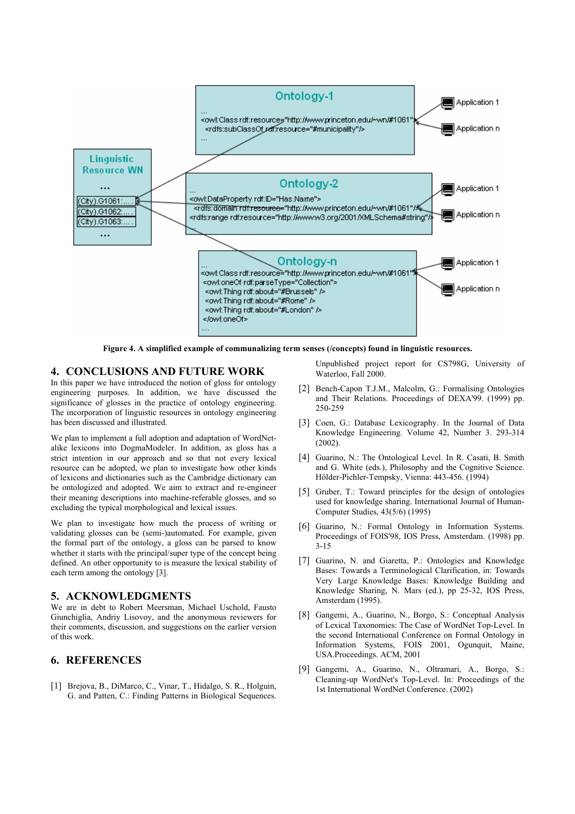

**Figure 4. A simplified example of communalizing term senses (/concepts) found in linguistic resources.** 

#### **4. CONCLUSIONS AND FUTURE WORK**

In this paper we have introduced the notion of gloss for ontology engineering purposes. In addition, we have discussed the significance of glosses in the practice of ontology engineering. The incorporation of linguistic resources in ontology engineering has been discussed and illustrated.

We plan to implement a full adoption and adaptation of WordNetalike lexicons into DogmaModeler. In addition, as gloss has a strict intention in our approach and so that not every lexical resource can be adopted, we plan to investigate how other kinds of lexicons and dictionaries such as the Cambridge dictionary can be ontologized and adopted. We aim to extract and re-engineer their meaning descriptions into machine-referable glosses, and so excluding the typical morphological and lexical issues.

We plan to investigate how much the process of writing or validating glosses can be (semi-)automated. For example, given the formal part of the ontology, a gloss can be parsed to know whether it starts with the principal/super type of the concept being defined. An other opportunity to is measure the lexical stability of each term among the ontology [3].

#### **5. ACKNOWLEDGMENTS**

We are in debt to Robert Meersman, Michael Uschold, Fausto Giunchiglia, Andriy Lisovoy, and the anonymous reviewers for their comments, discussion, and suggestions on the earlier version of this work.

## **6. REFERENCES**

[1] Brejova, B., DiMarco, C., Vinar, T., Hidalgo, S. R., Holguin, G. and Patten, C.: Finding Patterns in Biological Sequences.

Unpublished project report for CS798G, University of Waterloo, Fall 2000.

- [2] Bench-Capon T.J.M., Malcolm, G.: Formalising Ontologies and Their Relations. Proceedings of DEXA'99. (1999) pp. 250-259
- [3] Coen, G.: Database Lexicography. In the Journal of Data Knowledge Engineering. Volume 42, Number 3. 293-314  $(2002)$
- [4] Guarino, N.: The Ontological Level. In R. Casati, B. Smith and G. White (eds.), Philosophy and the Cognitive Science. Hölder-Pichler-Tempsky, Vienna: 443-456. (1994)
- [5] Gruber, T.: Toward principles for the design of ontologies used for knowledge sharing. International Journal of Human-Computer Studies, 43(5/6) (1995)
- [6] Guarino, N.: Formal Ontology in Information Systems. Proceedings of FOIS'98, IOS Press, Amsterdam. (1998) pp. 3-15
- [7] Guarino, N. and Giaretta, P.: Ontologies and Knowledge Bases: Towards a Terminological Clarification, in: Towards Very Large Knowledge Bases: Knowledge Building and Knowledge Sharing, N. Mars (ed.), pp 25-32, IOS Press, Amsterdam (1995).
- [8] Gangemi, A., Guarino, N., Borgo, S.: Conceptual Analysis of Lexical Taxonomies: The Case of WordNet Top-Level. In the second International Conference on Formal Ontology in Information Systems, FOIS 2001, Ogunquit, Maine, USA.Proceedings. ACM, 2001
- [9] Gangemi, A., Guarino, N., Oltramari, A., Borgo, S.: Cleaning-up WordNet's Top-Level. In: Proceedings of the 1st International WordNet Conference. (2002)